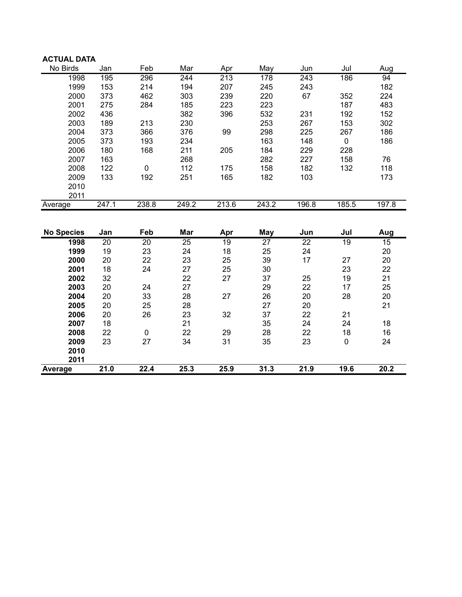| <b>ACTUAL DATA</b> |       |       |       |       |       |       |       |       |
|--------------------|-------|-------|-------|-------|-------|-------|-------|-------|
| No Birds           | Jan   | Feb   | Mar   | Apr   | May   | Jun   | Jul   | Aug   |
| 1998               | 195   | 296   | 244   | 213   | 178   | 243   | 186   | 94    |
| 1999               | 153   | 214   | 194   | 207   | 245   | 243   |       | 182   |
| 2000               | 373   | 462   | 303   | 239   | 220   | 67    | 352   | 224   |
| 2001               | 275   | 284   | 185   | 223   | 223   |       | 187   | 483   |
| 2002               | 436   |       | 382   | 396   | 532   | 231   | 192   | 152   |
| 2003               | 189   | 213   | 230   |       | 253   | 267   | 153   | 302   |
| 2004               | 373   | 366   | 376   | 99    | 298   | 225   | 267   | 186   |
| 2005               | 373   | 193   | 234   |       | 163   | 148   | 0     | 186   |
| 2006               | 180   | 168   | 211   | 205   | 184   | 229   | 228   |       |
| 2007               | 163   |       | 268   |       | 282   | 227   | 158   | 76    |
| 2008               | 122   | 0     | 112   | 175   | 158   | 182   | 132   | 118   |
| 2009               | 133   | 192   | 251   | 165   | 182   | 103   |       | 173   |
| 2010               |       |       |       |       |       |       |       |       |
| 2011               |       |       |       |       |       |       |       |       |
| Average            | 247.1 | 238.8 | 249.2 | 213.6 | 243.2 | 196.8 | 185.5 | 197.8 |

| <b>No Species</b> | Jan             | Feb             | Mar             | Apr             | May             | Jun  | Jul             | Aug  |
|-------------------|-----------------|-----------------|-----------------|-----------------|-----------------|------|-----------------|------|
| 1998              | $\overline{20}$ | $\overline{20}$ | $\overline{25}$ | $\overline{19}$ | $\overline{27}$ | 22   | $\overline{19}$ | 15   |
| 1999              | 19              | 23              | 24              | 18              | 25              | 24   |                 | 20   |
| 2000              | 20              | 22              | 23              | 25              | 39              | 17   | 27              | 20   |
| 2001              | 18              | 24              | 27              | 25              | 30              |      | 23              | 22   |
| 2002              | 32              |                 | 22              | 27              | 37              | 25   | 19              | 21   |
| 2003              | 20              | 24              | 27              |                 | 29              | 22   | 17              | 25   |
| 2004              | 20              | 33              | 28              | 27              | 26              | 20   | 28              | 20   |
| 2005              | 20              | 25              | 28              |                 | 27              | 20   |                 | 21   |
| 2006              | 20              | 26              | 23              | 32              | 37              | 22   | 21              |      |
| 2007              | 18              |                 | 21              |                 | 35              | 24   | 24              | 18   |
| 2008              | 22              | 0               | 22              | 29              | 28              | 22   | 18              | 16   |
| 2009              | 23              | 27              | 34              | 31              | 35              | 23   | 0               | 24   |
| 2010              |                 |                 |                 |                 |                 |      |                 |      |
| 2011              |                 |                 |                 |                 |                 |      |                 |      |
| Average           | 21.0            | 22.4            | 25.3            | 25.9            | 31.3            | 21.9 | 19.6            | 20.2 |